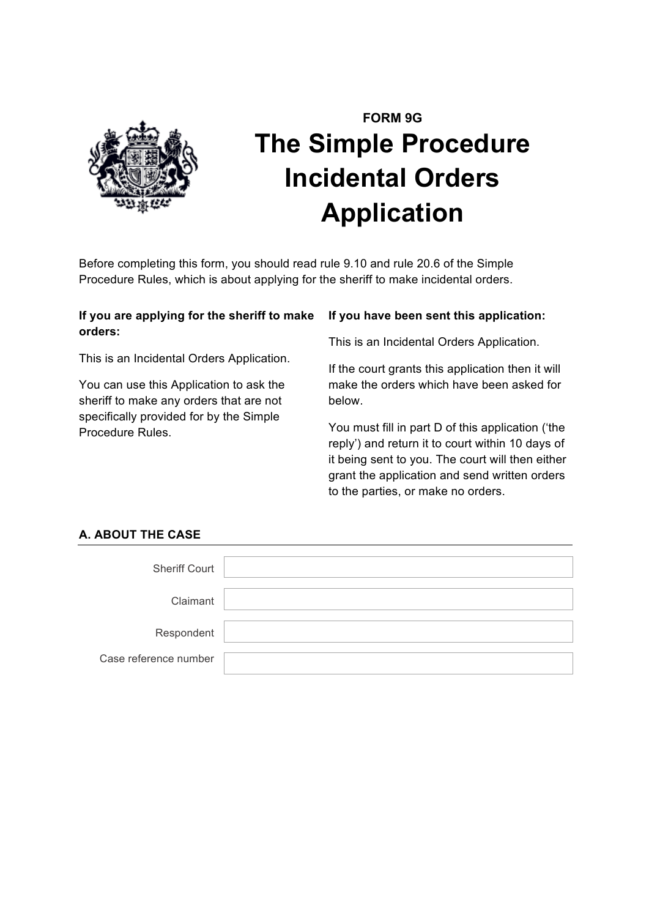

# **FORM 9G The Simple Procedure Incidental Orders Application**

Before completing this form, you should read rule 9.10 and rule 20.6 of the Simple Procedure Rules, which is about applying for the sheriff to make incidental orders.

# **If you are applying for the sheriff to make orders:**

This is an Incidental Orders Application.

You can use this Application to ask the sheriff to make any orders that are not specifically provided for by the Simple Procedure Rules.

## **If you have been sent this application:**

This is an Incidental Orders Application.

If the court grants this application then it will make the orders which have been asked for below.

You must fill in part D of this application ('the reply') and return it to court within 10 days of it being sent to you. The court will then either grant the application and send written orders to the parties, or make no orders.

# **A. ABOUT THE CASE**

| <b>Sheriff Court</b>  |  |
|-----------------------|--|
| Claimant              |  |
| Respondent            |  |
| Case reference number |  |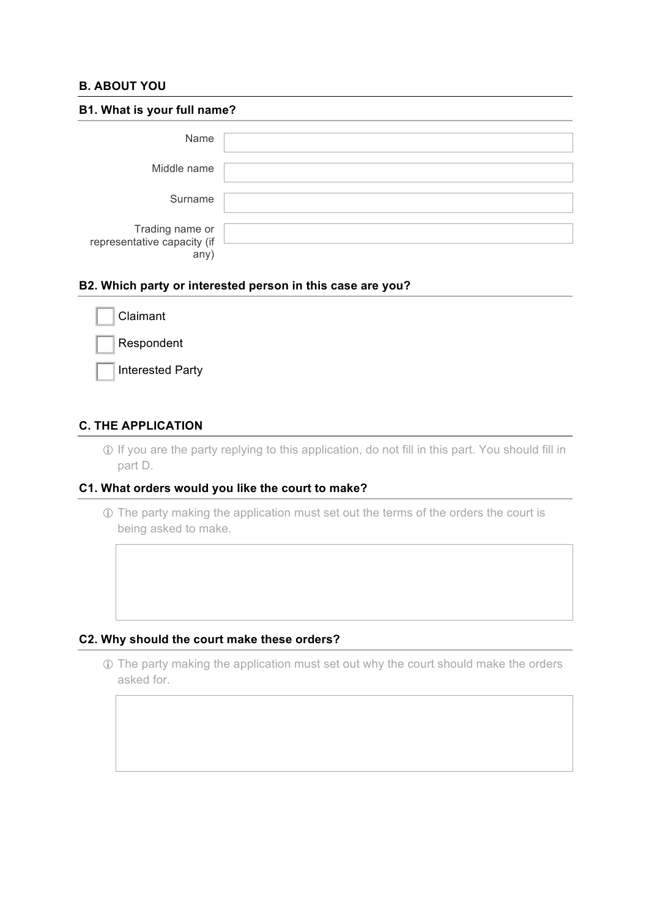# **B. ABOUT YOU**

| B1. What is your full name?                            |  |  |
|--------------------------------------------------------|--|--|
| Name                                                   |  |  |
| Middle name                                            |  |  |
| Surname                                                |  |  |
| Trading name or<br>representative capacity (if<br>any) |  |  |

#### **B2. Which party or interested person in this case are you?**

| Claimant                |
|-------------------------|
| Respondent              |
| <b>Interested Party</b> |

# **C. THE APPLICATION**

! If you are the party replying to this application, do not fill in this part. You should fill in part D.

#### **C1. What orders would you like the court to make?**

! The party making the application must set out the terms of the orders the court is being asked to make.

#### **C2. Why should the court make these orders?**

! The party making the application must set out why the court should make the orders asked for.